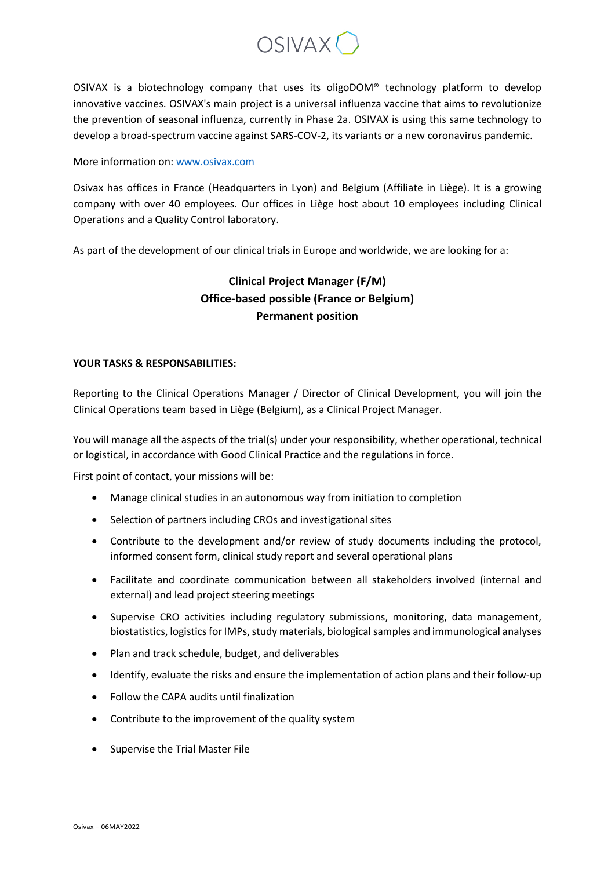

OSIVAX is a biotechnology company that uses its oligoDOM® technology platform to develop innovative vaccines. OSIVAX's main project is a universal influenza vaccine that aims to revolutionize the prevention of seasonal influenza, currently in Phase 2a. OSIVAX is using this same technology to develop a broad-spectrum vaccine against SARS-COV-2, its variants or a new coronavirus pandemic.

More information on: [www.osivax.com](http://www.osivax.com/)

Osivax has offices in France (Headquarters in Lyon) and Belgium (Affiliate in Liège). It is a growing company with over 40 employees. Our offices in Liège host about 10 employees including Clinical Operations and a Quality Control laboratory.

As part of the development of our clinical trials in Europe and worldwide, we are looking for a:

## **Clinical Project Manager (F/M) Office-based possible (France or Belgium) Permanent position**

## **YOUR TASKS & RESPONSABILITIES:**

Reporting to the Clinical Operations Manager / Director of Clinical Development, you will join the Clinical Operations team based in Liège (Belgium), as a Clinical Project Manager.

You will manage all the aspects of the trial(s) under your responsibility, whether operational, technical or logistical, in accordance with Good Clinical Practice and the regulations in force.

First point of contact, your missions will be:

- Manage clinical studies in an autonomous way from initiation to completion
- Selection of partners including CROs and investigational sites
- Contribute to the development and/or review of study documents including the protocol, informed consent form, clinical study report and several operational plans
- Facilitate and coordinate communication between all stakeholders involved (internal and external) and lead project steering meetings
- Supervise CRO activities including regulatory submissions, monitoring, data management, biostatistics, logistics for IMPs, study materials, biological samples and immunological analyses
- Plan and track schedule, budget, and deliverables
- Identify, evaluate the risks and ensure the implementation of action plans and their follow-up
- Follow the CAPA audits until finalization
- Contribute to the improvement of the quality system
- Supervise the Trial Master File